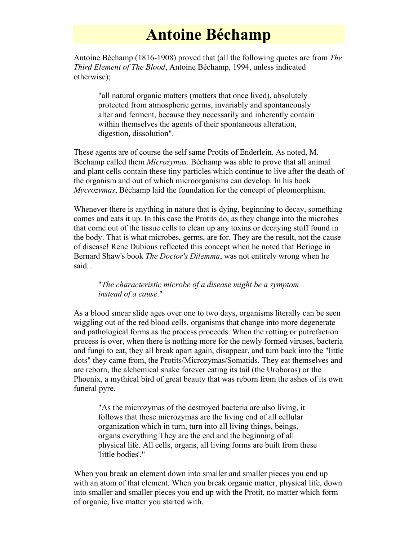## **Antoine Béchamp**

Antoine Béchamp (1816-1908) proved that (all the following quotes are from *The Third Element of The Blood*, Antoine Béchamp, 1994, unless indicated otherwise);

"all natural organic matters (matters that once lived), absolutely protected from atmospheric germs, invariably and spontaneously alter and ferment, because they necessarily and inherently contain within themselves the agents of their spontaneous alteration, digestion, dissolution".

These agents are of course the self same Protits of Enderlein. As noted, M. Béchamp called them *Microzymas*. Béchamp was able to prove that all animal and plant cells contain these tiny particles which continue to live after the death of the organism and out of which microorganisms can develop. In his book *Mycrozymas*, Béchamp laid the foundation for the concept of pleomorphism.

Whenever there is anything in nature that is dying, beginning to decay, something comes and eats it up. In this case the Protits do, as they change into the microbes that come out of the tissue cells to clean up any toxins or decaying stuff found in the body. That is what microbes, germs, are for. They are the result, not the cause of disease! Rene Dubious reflected this concept when he noted that Berioge in Bernard Shaw's book *The Doctor's Dilemma*, was not entirely wrong when he said...

## "*The characteristic microbe of a disease might be a symptom instead of a cause*."

As a blood smear slide ages over one to two days, organisms literally can be seen wiggling out of the red blood cells, organisms that change into more degenerate and pathological forms as the process proceeds. When the rotting or putrefaction process is over, when there is nothing more for the newly formed viruses, bacteria and fungi to eat, they all break apart again, disappear, and turn back into the "little dots" they came from, the Protits/Microzymas/Somatids. They eat themselves and are reborn, the alchemical snake forever eating its tail (the Uroboros) or the Phoenix, a mythical bird of great beauty that was reborn from the ashes of its own funeral pyre.

"As the microzymas of the destroyed bacteria are also living, it follows that these microzymas are the living end of all cellular organization which in turn, turn into all living things, beings, organs everything They are the end and the beginning of all physical life. All cells, organs, all living forms are built from these 'little bodies'."

When you break an element down into smaller and smaller pieces you end up with an atom of that element. When you break organic matter, physical life, down into smaller and smaller pieces you end up with the Protit, no matter which form of organic, live matter you started with.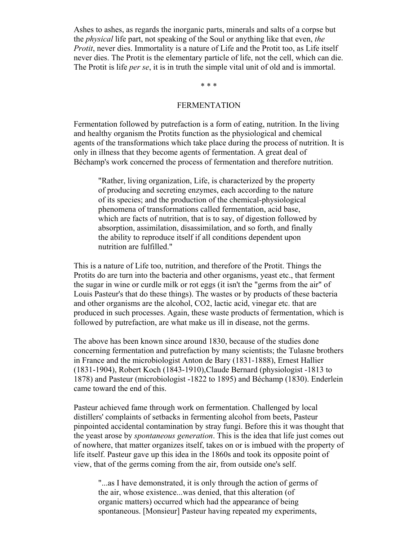Ashes to ashes, as regards the inorganic parts, minerals and salts of a corpse but the *physical* life part, not speaking of the Soul or anything like that even, *the Protit*, never dies. Immortality is a nature of Life and the Protit too, as Life itself never dies. The Protit is the elementary particle of life, not the cell, which can die. The Protit is life *per se*, it is in truth the simple vital unit of old and is immortal.

\* \* \*

## FERMENTATION

Fermentation followed by putrefaction is a form of eating, nutrition. In the living and healthy organism the Protits function as the physiological and chemical agents of the transformations which take place during the process of nutrition. It is only in illness that they become agents of fermentation. A great deal of Béchamp's work concerned the process of fermentation and therefore nutrition.

"Rather, living organization, Life, is characterized by the property of producing and secreting enzymes, each according to the nature of its species; and the production of the chemical-physiological phenomena of transformations called fermentation, acid base, which are facts of nutrition, that is to say, of digestion followed by absorption, assimilation, disassimilation, and so forth, and finally the ability to reproduce itself if all conditions dependent upon nutrition are fulfilled."

This is a nature of Life too, nutrition, and therefore of the Protit. Things the Protits do are turn into the bacteria and other organisms, yeast etc., that ferment the sugar in wine or curdle milk or rot eggs (it isn't the "germs from the air" of Louis Pasteur's that do these things). The wastes or by products of these bacteria and other organisms are the alcohol, CO2, lactic acid, vinegar etc. that are produced in such processes. Again, these waste products of fermentation, which is followed by putrefaction, are what make us ill in disease, not the germs.

The above has been known since around 1830, because of the studies done concerning fermentation and putrefaction by many scientists; the Tulasne brothers in France and the microbiologist Anton de Bary (1831-1888), Ernest Hallier (1831-1904), Robert Koch (1843-1910),Claude Bernard (physiologist -1813 to 1878) and Pasteur (microbiologist -1822 to 1895) and Béchamp (1830). Enderlein came toward the end of this.

Pasteur achieved fame through work on fermentation. Challenged by local distillers' complaints of setbacks in fermenting alcohol from beets, Pasteur pinpointed accidental contamination by stray fungi. Before this it was thought that the yeast arose by *spontaneous generation*. This is the idea that life just comes out of nowhere, that matter organizes itself, takes on or is imbued with the property of life itself. Pasteur gave up this idea in the 1860s and took its opposite point of view, that of the germs coming from the air, from outside one's self.

"...as I have demonstrated, it is only through the action of germs of the air, whose existence...was denied, that this alteration (of organic matters) occurred which had the appearance of being spontaneous. [Monsieur] Pasteur having repeated my experiments,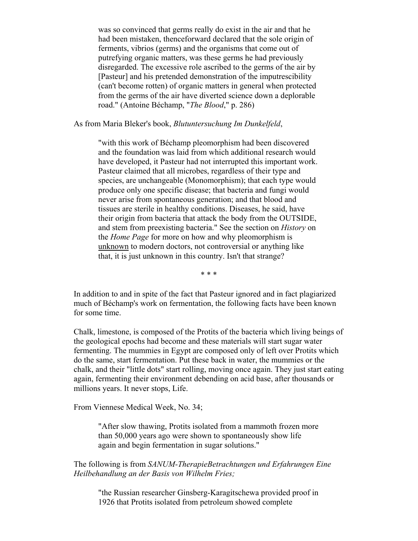was so convinced that germs really do exist in the air and that he had been mistaken, thenceforward declared that the sole origin of ferments, vibrios (germs) and the organisms that come out of putrefying organic matters, was these germs he had previously disregarded. The excessive role ascribed to the germs of the air by [Pasteur] and his pretended demonstration of the imputrescibility (can't become rotten) of organic matters in general when protected from the germs of the air have diverted science down a deplorable road." (Antoine Béchamp, "*The Blood*," p. 286)

As from Maria Bleker's book, *Blutuntersuchung Im Dunkelfeld*,

"with this work of Béchamp pleomorphism had been discovered and the foundation was laid from which additional research would have developed, it Pasteur had not interrupted this important work. Pasteur claimed that all microbes, regardless of their type and species, are unchangeable (Monomorphism); that each type would produce only one specific disease; that bacteria and fungi would never arise from spontaneous generation; and that blood and tissues are sterile in healthy conditions. Diseases, he said, have their origin from bacteria that attack the body from the OUTSIDE, and stem from preexisting bacteria." See the section on *History* on the *Home Page* for more on how and why pleomorphism is unknown to modern doctors, not controversial or anything like that, it is just unknown in this country. Isn't that strange?

\* \* \*

In addition to and in spite of the fact that Pasteur ignored and in fact plagiarized much of Béchamp's work on fermentation, the following facts have been known for some time.

Chalk, limestone, is composed of the Protits of the bacteria which living beings of the geological epochs had become and these materials will start sugar water fermenting. The mummies in Egypt are composed only of left over Protits which do the same, start fermentation. Put these back in water, the mummies or the chalk, and their "little dots" start rolling, moving once again. They just start eating again, fermenting their environment debending on acid base, after thousands or millions years. It never stops, Life.

From Viennese Medical Week, No. 34;

"After slow thawing, Protits isolated from a mammoth frozen more than 50,000 years ago were shown to spontaneously show life again and begin fermentation in sugar solutions."

The following is from *SANUM-TherapieBetrachtungen und Erfahrungen Eine Heilbehandlung an der Basis von Wilhelm Fries;*

"the Russian researcher Ginsberg-Karagitschewa provided proof in 1926 that Protits isolated from petroleum showed complete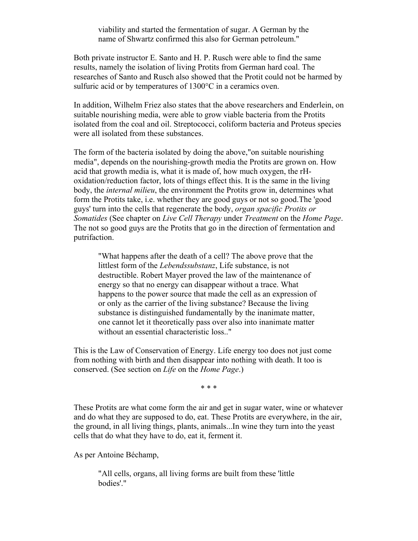viability and started the fermentation of sugar. A German by the name of Shwartz confirmed this also for German petroleum."

Both private instructor E. Santo and H. P. Rusch were able to find the same results, namely the isolation of living Protits from German hard coal. The researches of Santo and Rusch also showed that the Protit could not be harmed by sulfuric acid or by temperatures of 1300°C in a ceramics oven.

In addition, Wilhelm Friez also states that the above researchers and Enderlein, on suitable nourishing media, were able to grow viable bacteria from the Protits isolated from the coal and oil. Streptococci, coliform bacteria and Proteus species were all isolated from these substances.

The form of the bacteria isolated by doing the above,"on suitable nourishing media", depends on the nourishing-growth media the Protits are grown on. How acid that growth media is, what it is made of, how much oxygen, the rHoxidation/reduction factor, lots of things effect this. It is the same in the living body, the *internal milieu*, the environment the Protits grow in, determines what form the Protits take, i.e. whether they are good guys or not so good.The 'good guys' turn into the cells that regenerate the body, *organ spacific Protits or Somatides* (See chapter on *Live Cell Therapy* under *Treatment* on the *Home Page*. The not so good guys are the Protits that go in the direction of fermentation and putrifaction.

"What happens after the death of a cell? The above prove that the littlest form of the *Lebendssubstanz*, Life substance, is not destructible. Robert Mayer proved the law of the maintenance of energy so that no energy can disappear without a trace. What happens to the power source that made the cell as an expression of or only as the carrier of the living substance? Because the living substance is distinguished fundamentally by the inanimate matter, one cannot let it theoretically pass over also into inanimate matter without an essential characteristic loss.."

This is the Law of Conservation of Energy. Life energy too does not just come from nothing with birth and then disappear into nothing with death. It too is conserved. (See section on *Life* on the *Home Page*.)

\* \* \*

These Protits are what come form the air and get in sugar water, wine or whatever and do what they are supposed to do, eat. These Protits are everywhere, in the air, the ground, in all living things, plants, animals...In wine they turn into the yeast cells that do what they have to do, eat it, ferment it.

As per Antoine Béchamp,

"All cells, organs, all living forms are built from these 'little bodies'."